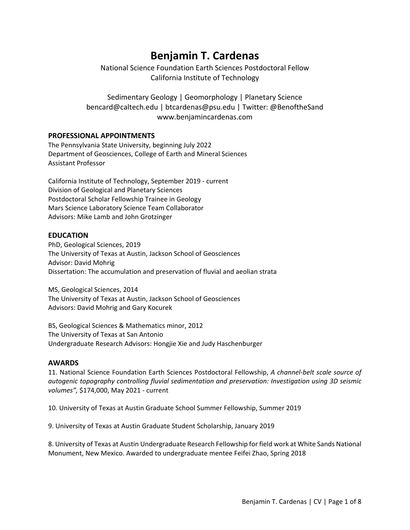# **Benjamin T. Cardenas**

National Science Foundation Earth Sciences Postdoctoral Fellow California Institute of Technology

Sedimentary Geology | Geomorphology | Planetary Science bencard@caltech.edu | btcardenas@psu.edu | Twitter: @BenoftheSand www.benjamincardenas.com

# **PROFESSIONAL APPOINTMENTS**

The Pennsylvania State University, beginning July 2022 Department of Geosciences, College of Earth and Mineral Sciences Assistant Professor

California Institute of Technology, September 2019 - current Division of Geological and Planetary Sciences Postdoctoral Scholar Fellowship Trainee in Geology Mars Science Laboratory Science Team Collaborator Advisors: Mike Lamb and John Grotzinger

# **EDUCATION**

PhD, Geological Sciences, 2019 The University of Texas at Austin, Jackson School of Geosciences Advisor: David Mohrig Dissertation: The accumulation and preservation of fluvial and aeolian strata

MS, Geological Sciences, 2014 The University of Texas at Austin, Jackson School of Geosciences Advisors: David Mohrig and Gary Kocurek

BS, Geological Sciences & Mathematics minor, 2012 The University of Texas at San Antonio Undergraduate Research Advisors: Hongjie Xie and Judy Haschenburger

# **AWARDS**

11. National Science Foundation Earth Sciences Postdoctoral Fellowship, *A channel-belt scale source of autogenic topography controlling fluvial sedimentation and preservation: Investigation using 3D seismic volumes",* \$174,000, May 2021 - current

10. University of Texas at Austin Graduate School Summer Fellowship, Summer 2019

9. University of Texas at Austin Graduate Student Scholarship, January 2019

8. University of Texas at Austin Undergraduate Research Fellowship for field work at White Sands National Monument, New Mexico. Awarded to undergraduate mentee Feifei Zhao, Spring 2018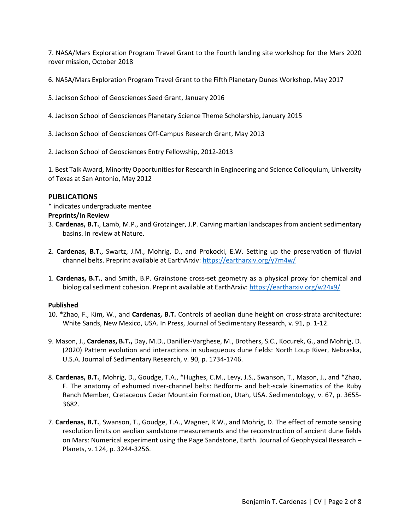7. NASA/Mars Exploration Program Travel Grant to the Fourth landing site workshop for the Mars 2020 rover mission, October 2018

6. NASA/Mars Exploration Program Travel Grant to the Fifth Planetary Dunes Workshop, May 2017

- 5. Jackson School of Geosciences Seed Grant, January 2016
- 4. Jackson School of Geosciences Planetary Science Theme Scholarship, January 2015
- 3. Jackson School of Geosciences Off-Campus Research Grant, May 2013
- 2. Jackson School of Geosciences Entry Fellowship, 2012-2013

1. Best Talk Award, Minority Opportunities for Research in Engineering and Science Colloquium, University of Texas at San Antonio, May 2012

#### **PUBLICATIONS**

\* indicates undergraduate mentee

#### **Preprints/In Review**

- 3. **Cardenas, B.T.**, Lamb, M.P., and Grotzinger, J.P. Carving martian landscapes from ancient sedimentary basins. In review at Nature.
- 2. **Cardenas, B.T.**, Swartz, J.M., Mohrig, D., and Prokocki, E.W. Setting up the preservation of fluvial channel belts. Preprint available at EarthArxiv:<https://eartharxiv.org/y7m4w/>
- 1. **Cardenas, B.T.**, and Smith, B.P. Grainstone cross-set geometry as a physical proxy for chemical and biological sediment cohesion. Preprint available at EarthArxiv: https://eartharxiv.org/w24x9/

#### **Published**

- 10. \*Zhao, F., Kim, W., and **Cardenas, B.T.** Controls of aeolian dune height on cross-strata architecture: White Sands, New Mexico, USA. In Press, Journal of Sedimentary Research, v. 91, p. 1-12.
- 9. Mason, J., **Cardenas, B.T.,** Day, M.D., Daniller-Varghese, M., Brothers, S.C., Kocurek, G., and Mohrig, D. (2020) Pattern evolution and interactions in subaqueous dune fields: North Loup River, Nebraska, U.S.A. Journal of Sedimentary Research, v. 90, p. 1734-1746.
- 8. **Cardenas, B.T.**, Mohrig, D., Goudge, T.A., \*Hughes, C.M., Levy, J.S., Swanson, T., Mason, J., and \*Zhao, F. The anatomy of exhumed river-channel belts: Bedform- and belt-scale kinematics of the Ruby Ranch Member, Cretaceous Cedar Mountain Formation, Utah, USA. Sedimentology, v. 67, p. 3655- 3682.
- 7. **Cardenas, B.T.**, Swanson, T., Goudge, T.A., Wagner, R.W., and Mohrig, D. The effect of remote sensing resolution limits on aeolian sandstone measurements and the reconstruction of ancient dune fields on Mars: Numerical experiment using the Page Sandstone, Earth. Journal of Geophysical Research – Planets, v. 124, p. 3244-3256.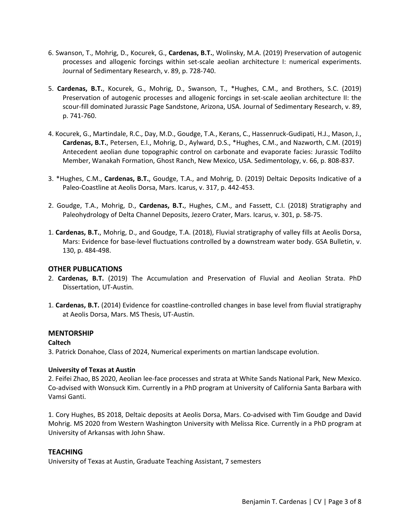- 6. Swanson, T., Mohrig, D., Kocurek, G., **Cardenas, B.T.**, Wolinsky, M.A. (2019) Preservation of autogenic processes and allogenic forcings within set-scale aeolian architecture I: numerical experiments. Journal of Sedimentary Research, v. 89, p. 728-740.
- 5. **Cardenas, B.T.**, Kocurek, G., Mohrig, D., Swanson, T., \*Hughes, C.M., and Brothers, S.C. (2019) Preservation of autogenic processes and allogenic forcings in set-scale aeolian architecture II: the scour-fill dominated Jurassic Page Sandstone, Arizona, USA. Journal of Sedimentary Research, v. 89, p. 741-760.
- 4. Kocurek, G., Martindale, R.C., Day, M.D., Goudge, T.A., Kerans, C., Hassenruck-Gudipati, H.J., Mason, J., **Cardenas, B.T.**, Petersen, E.I., Mohrig, D., Aylward, D.S., \*Hughes, C.M., and Nazworth, C.M. (2019) Antecedent aeolian dune topographic control on carbonate and evaporate facies: Jurassic Todilto Member, Wanakah Formation, Ghost Ranch, New Mexico, USA. Sedimentology, v. 66, p. 808-837.
- 3. \*Hughes, C.M., **Cardenas, B.T.**, Goudge, T.A., and Mohrig, D. (2019) Deltaic Deposits Indicative of a Paleo-Coastline at Aeolis Dorsa, Mars. Icarus, v. 317, p. 442-453.
- 2. Goudge, T.A., Mohrig, D., **Cardenas, B.T.**, Hughes, C.M., and Fassett, C.I. (2018) Stratigraphy and Paleohydrology of Delta Channel Deposits, Jezero Crater, Mars. Icarus, v. 301, p. 58-75.
- 1. **Cardenas, B.T.**, Mohrig, D., and Goudge, T.A. (2018), Fluvial stratigraphy of valley fills at Aeolis Dorsa, Mars: Evidence for base-level fluctuations controlled by a downstream water body. GSA Bulletin, v. 130, p. 484-498.

# **OTHER PUBLICATIONS**

- 2. **Cardenas, B.T.** (2019) The Accumulation and Preservation of Fluvial and Aeolian Strata. PhD Dissertation, UT-Austin.
- 1. **Cardenas, B.T.** (2014) Evidence for coastline-controlled changes in base level from fluvial stratigraphy at Aeolis Dorsa, Mars. MS Thesis, UT-Austin.

# **MENTORSHIP**

# **Caltech**

3. Patrick Donahoe, Class of 2024, Numerical experiments on martian landscape evolution.

# **University of Texas at Austin**

2. Feifei Zhao, BS 2020, Aeolian lee-face processes and strata at White Sands National Park, New Mexico. Co-advised with Wonsuck Kim. Currently in a PhD program at University of California Santa Barbara with Vamsi Ganti.

1. Cory Hughes, BS 2018, Deltaic deposits at Aeolis Dorsa, Mars. Co-advised with Tim Goudge and David Mohrig. MS 2020 from Western Washington University with Melissa Rice. Currently in a PhD program at University of Arkansas with John Shaw.

#### **TEACHING**

University of Texas at Austin, Graduate Teaching Assistant, 7 semesters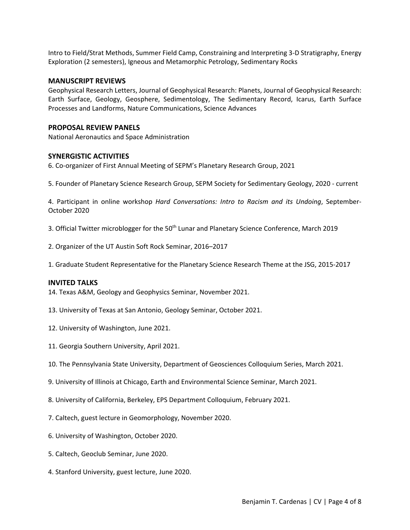Intro to Field/Strat Methods, Summer Field Camp, Constraining and Interpreting 3-D Stratigraphy, Energy Exploration (2 semesters), Igneous and Metamorphic Petrology, Sedimentary Rocks

# **MANUSCRIPT REVIEWS**

Geophysical Research Letters, Journal of Geophysical Research: Planets, Journal of Geophysical Research: Earth Surface, Geology, Geosphere, Sedimentology, The Sedimentary Record, Icarus, Earth Surface Processes and Landforms, Nature Communications, Science Advances

#### **PROPOSAL REVIEW PANELS**

National Aeronautics and Space Administration

# **SYNERGISTIC ACTIVITIES**

6. Co-organizer of First Annual Meeting of SEPM's Planetary Research Group, 2021

5. Founder of Planetary Science Research Group, SEPM Society for Sedimentary Geology, 2020 - current

4. Participant in online workshop *Hard Conversations: Intro to Racism and its Undoing*, September-October 2020

- 3. Official Twitter microblogger for the 50<sup>th</sup> Lunar and Planetary Science Conference, March 2019
- 2. Organizer of the UT Austin Soft Rock Seminar, 2016–2017
- 1. Graduate Student Representative for the Planetary Science Research Theme at the JSG, 2015-2017

#### **INVITED TALKS**

14. Texas A&M, Geology and Geophysics Seminar, November 2021.

- 13. University of Texas at San Antonio, Geology Seminar, October 2021.
- 12. University of Washington, June 2021.
- 11. Georgia Southern University, April 2021.
- 10. The Pennsylvania State University, Department of Geosciences Colloquium Series, March 2021.
- 9. University of Illinois at Chicago, Earth and Environmental Science Seminar, March 2021.
- 8. University of California, Berkeley, EPS Department Colloquium, February 2021.
- 7. Caltech, guest lecture in Geomorphology, November 2020.
- 6. University of Washington, October 2020.
- 5. Caltech, Geoclub Seminar, June 2020.
- 4. Stanford University, guest lecture, June 2020.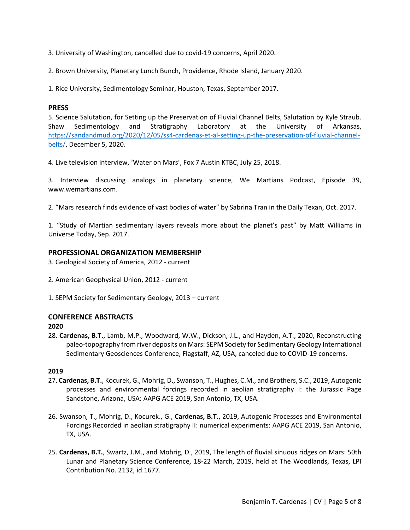3. University of Washington, cancelled due to covid-19 concerns, April 2020.

2. Brown University, Planetary Lunch Bunch, Providence, Rhode Island, January 2020.

1. Rice University, Sedimentology Seminar, Houston, Texas, September 2017.

#### **PRESS**

5. Science Salutation, for Setting up the Preservation of Fluvial Channel Belts, Salutation by Kyle Straub. Shaw Sedimentology and Stratigraphy Laboratory at the University of Arkansas, [https://sandandmud.org/2020/12/05/ss4-cardenas-et-al-setting-up-the-preservation-of-fluvial-channel](https://sandandmud.org/2020/12/05/ss4-cardenas-et-al-setting-up-the-preservation-of-fluvial-channel-belts/)[belts/,](https://sandandmud.org/2020/12/05/ss4-cardenas-et-al-setting-up-the-preservation-of-fluvial-channel-belts/) December 5, 2020.

4. Live television interview, 'Water on Mars', Fox 7 Austin KTBC, July 25, 2018.

3. Interview discussing analogs in planetary science, We Martians Podcast, Episode 39, www.wemartians.com.

2. "Mars research finds evidence of vast bodies of water" by Sabrina Tran in the Daily Texan, Oct. 2017.

1. "Study of Martian sedimentary layers reveals more about the planet's past" by Matt Williams in Universe Today, Sep. 2017.

#### **PROFESSIONAL ORGANIZATION MEMBERSHIP**

- 3. Geological Society of America, 2012 current
- 2. American Geophysical Union, 2012 current
- 1. SEPM Society for Sedimentary Geology, 2013 current

#### **CONFERENCE ABSTRACTS**

#### **2020**

28. **Cardenas, B.T.**, Lamb, M.P., Woodward, W.W., Dickson, J.L., and Hayden, A.T., 2020, Reconstructing paleo-topography from river deposits on Mars: SEPM Society for Sedimentary Geology International Sedimentary Geosciences Conference, Flagstaff, AZ, USA, canceled due to COVID-19 concerns.

#### **2019**

- 27. **Cardenas, B.T.**, Kocurek, G., Mohrig, D., Swanson, T., Hughes, C.M., and Brothers, S.C., 2019, Autogenic processes and environmental forcings recorded in aeolian stratigraphy I: the Jurassic Page Sandstone, Arizona, USA: AAPG ACE 2019, San Antonio, TX, USA.
- 26. Swanson, T., Mohrig, D., Kocurek., G., **Cardenas, B.T.**, 2019, Autogenic Processes and Environmental Forcings Recorded in aeolian stratigraphy II: numerical experiments: AAPG ACE 2019, San Antonio, TX, USA.
- 25. **Cardenas, B.T.**, Swartz, J.M., and Mohrig, D., 2019, The length of fluvial sinuous ridges on Mars: 50th Lunar and Planetary Science Conference, 18-22 March, 2019, held at The Woodlands, Texas, LPI Contribution No. 2132, id.1677.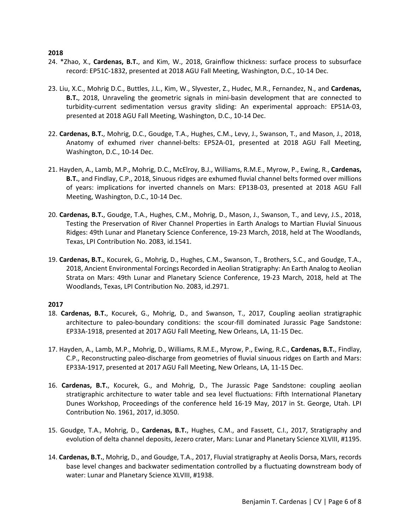#### **2018**

- 24. \*Zhao, X., **Cardenas, B.T.**, and Kim, W., 2018, Grainflow thickness: surface process to subsurface record: EP51C-1832, presented at 2018 AGU Fall Meeting, Washington, D.C., 10-14 Dec.
- 23. Liu, X.C., Mohrig D.C., Buttles, J.L., Kim, W., Slyvester, Z., Hudec, M.R., Fernandez, N., and **Cardenas, B.T.**, 2018, Unraveling the geometric signals in mini-basin development that are connected to turbidity-current sedimentation versus gravity sliding: An experimental approach: EP51A-03, presented at 2018 AGU Fall Meeting, Washington, D.C., 10-14 Dec.
- 22. **Cardenas, B.T.**, Mohrig, D.C., Goudge, T.A., Hughes, C.M., Levy, J., Swanson, T., and Mason, J., 2018, Anatomy of exhumed river channel-belts: EP52A-01, presented at 2018 AGU Fall Meeting, Washington, D.C., 10-14 Dec.
- 21. Hayden, A., Lamb, M.P., Mohrig, D.C., McElroy, B.J., Williams, R.M.E., Myrow, P., Ewing, R., **Cardenas, B.T.**, and Findlay, C.P., 2018, Sinuous ridges are exhumed fluvial channel belts formed over millions of years: implications for inverted channels on Mars: EP13B-03, presented at 2018 AGU Fall Meeting, Washington, D.C., 10-14 Dec.
- 20. **Cardenas, B.T.**, Goudge, T.A., Hughes, C.M., Mohrig, D., Mason, J., Swanson, T., and Levy, J.S., 2018, Testing the Preservation of River Channel Properties in Earth Analogs to Martian Fluvial Sinuous Ridges: 49th Lunar and Planetary Science Conference, 19-23 March, 2018, held at The Woodlands, Texas, LPI Contribution No. 2083, id.1541.
- 19. **Cardenas, B.T.**, Kocurek, G., Mohrig, D., Hughes, C.M., Swanson, T., Brothers, S.C., and Goudge, T.A., 2018, Ancient Environmental Forcings Recorded in Aeolian Stratigraphy: An Earth Analog to Aeolian Strata on Mars: 49th Lunar and Planetary Science Conference, 19-23 March, 2018, held at The Woodlands, Texas, LPI Contribution No. 2083, id.2971.

# **2017**

- 18. **Cardenas, B.T.**, Kocurek, G., Mohrig, D., and Swanson, T., 2017, Coupling aeolian stratigraphic architecture to paleo-boundary conditions: the scour-fill dominated Jurassic Page Sandstone: EP33A-1918, presented at 2017 AGU Fall Meeting, New Orleans, LA, 11-15 Dec.
- 17. Hayden, A., Lamb, M.P., Mohrig, D., Williams, R.M.E., Myrow, P., Ewing, R.C., **Cardenas, B.T.**, Findlay, C.P., Reconstructing paleo-discharge from geometries of fluvial sinuous ridges on Earth and Mars: EP33A-1917, presented at 2017 AGU Fall Meeting, New Orleans, LA, 11-15 Dec.
- 16. **Cardenas, B.T.**, Kocurek, G., and Mohrig, D., The Jurassic Page Sandstone: coupling aeolian stratigraphic architecture to water table and sea level fluctuations: Fifth International Planetary Dunes Workshop, Proceedings of the conference held 16-19 May, 2017 in St. George, Utah. LPI Contribution No. 1961, 2017, id.3050.
- 15. Goudge, T.A., Mohrig, D., **Cardenas, B.T.**, Hughes, C.M., and Fassett, C.I., 2017, Stratigraphy and evolution of delta channel deposits, Jezero crater, Mars: Lunar and Planetary Science XLVIII, #1195.
- 14. **Cardenas, B.T.**, Mohrig, D., and Goudge, T.A., 2017, Fluvial stratigraphy at Aeolis Dorsa, Mars, records base level changes and backwater sedimentation controlled by a fluctuating downstream body of water: Lunar and Planetary Science XLVIII, #1938.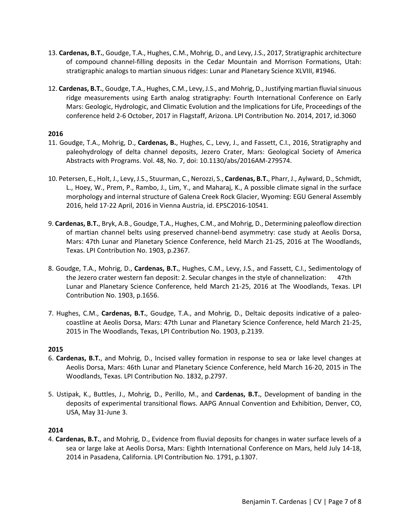- 13. **Cardenas, B.T.**, Goudge, T.A., Hughes, C.M., Mohrig, D., and Levy, J.S., 2017, Stratigraphic architecture of compound channel-filling deposits in the Cedar Mountain and Morrison Formations, Utah: stratigraphic analogs to martian sinuous ridges: Lunar and Planetary Science XLVIII, #1946.
- 12. **Cardenas, B.T.**, Goudge, T.A., Hughes, C.M., Levy, J.S., and Mohrig, D., Justifying martian fluvial sinuous ridge measurements using Earth analog stratigraphy: Fourth International Conference on Early Mars: Geologic, Hydrologic, and Climatic Evolution and the Implications for Life, Proceedings of the conference held 2-6 October, 2017 in Flagstaff, Arizona. LPI Contribution No. 2014, 2017, id.3060

# **2016**

- 11. Goudge, T.A., Mohrig, D., **Cardenas, B.**, Hughes, C., Levy, J., and Fassett, C.I., 2016, Stratigraphy and paleohydrology of delta channel deposits, Jezero Crater, Mars: Geological Society of America Abstracts with Programs. Vol. 48, No. 7, doi: 10.1130/abs/2016AM-279574.
- 10. Petersen, E., Holt, J., Levy, J.S., Stuurman, C., Nerozzi, S., **Cardenas, B.T.**, Pharr, J., Aylward, D., Schmidt, L., Hoey, W., Prem, P., Rambo, J., Lim, Y., and Maharaj, K., A possible climate signal in the surface morphology and internal structure of Galena Creek Rock Glacier, Wyoming: EGU General Assembly 2016, held 17-22 April, 2016 in Vienna Austria, id. EPSC2016-10541.
- 9. **Cardenas, B.T.**, Bryk, A.B., Goudge, T.A., Hughes, C.M., and Mohrig, D., Determining paleoflow direction of martian channel belts using preserved channel-bend asymmetry: case study at Aeolis Dorsa, Mars: 47th Lunar and Planetary Science Conference, held March 21-25, 2016 at The Woodlands, Texas. LPI Contribution No. 1903, p.2367.
- 8. Goudge, T.A., Mohrig, D., **Cardenas, B.T.**, Hughes, C.M., Levy, J.S., and Fassett, C.I., Sedimentology of the Jezero crater western fan deposit: 2. Secular changes in the style of channelization: 47th Lunar and Planetary Science Conference, held March 21-25, 2016 at The Woodlands, Texas. LPI Contribution No. 1903, p.1656.
- 7. Hughes, C.M., **Cardenas, B.T.**, Goudge, T.A., and Mohrig, D., Deltaic deposits indicative of a paleocoastline at Aeolis Dorsa, Mars: 47th Lunar and Planetary Science Conference, held March 21-25, 2015 in The Woodlands, Texas, LPI Contribution No. 1903, p.2139.

# **2015**

- 6. **Cardenas, B.T.**, and Mohrig, D., Incised valley formation in response to sea or lake level changes at Aeolis Dorsa, Mars: 46th Lunar and Planetary Science Conference, held March 16-20, 2015 in The Woodlands, Texas. LPI Contribution No. 1832, p.2797.
- 5. Ustipak, K., Buttles, J., Mohrig, D., Perillo, M., and **Cardenas, B.T.**, Development of banding in the deposits of experimental transitional flows. AAPG Annual Convention and Exhibition, Denver, CO, USA, May 31-June 3.

# **2014**

4. **Cardenas, B.T.**, and Mohrig, D., Evidence from fluvial deposits for changes in water surface levels of a sea or large lake at Aeolis Dorsa, Mars: Eighth International Conference on Mars, held July 14-18, 2014 in Pasadena, California. LPI Contribution No. 1791, p.1307.